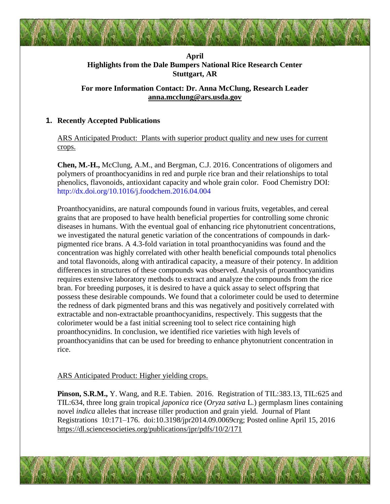## **April Highlights from the Dale Bumpers National Rice Research Center Stuttgart, AR**

# **For more Information Contact: Dr. Anna McClung, Research Leader [anna.mcclung@ars.usda.gov](mailto:anna.mcclung@ars.usda.gov)**

# **1. Recently Accepted Publications**

ARS Anticipated Product: Plants with superior product quality and new uses for current crops.

**Chen, M.-H.,** McClung, A.M., and Bergman, C.J. 2016. Concentrations of oligomers and polymers of proanthocyanidins in red and purple rice bran and their relationships to total phenolics, flavonoids, antioxidant capacity and whole grain color. Food Chemistry DOI: http://dx.doi.org/10.1016/j.foodchem.2016.04.004

Proanthocyanidins, are natural compounds found in various fruits, vegetables, and cereal grains that are proposed to have health beneficial properties for controlling some chronic diseases in humans. With the eventual goal of enhancing rice phytonutrient concentrations, we investigated the natural genetic variation of the concentrations of compounds in darkpigmented rice brans. A 4.3-fold variation in total proanthocyanidins was found and the concentration was highly correlated with other health beneficial compounds total phenolics and total flavonoids, along with antiradical capacity, a measure of their potency. In addition differences in structures of these compounds was observed. Analysis of proanthocyanidins requires extensive laboratory methods to extract and analyze the compounds from the rice bran. For breeding purposes, it is desired to have a quick assay to select offspring that possess these desirable compounds. We found that a colorimeter could be used to determine the redness of dark pigmented brans and this was negatively and positively correlated with extractable and non-extractable proanthocyanidins, respectively. This suggests that the colorimeter would be a fast initial screening tool to select rice containing high proanthocynidins. In conclusion, we identified rice varieties with high levels of proanthocyanidins that can be used for breeding to enhance phytonutrient concentration in rice.

### ARS Anticipated Product: Higher yielding crops.

**Pinson, S.R.M.,** Y. Wang, and R.E. Tabien. 2016. Registration of TIL:383.13, TIL:625 and TIL:634, three long grain tropical *japonica* rice (*Oryza sativa* L.) germplasm lines containing novel *indica* alleles that increase tiller production and grain yield. Journal of Plant Registrations 10:171–176. doi:10.3198/jpr2014.09.0069crg; Posted online April 15, 2016 <https://dl.sciencesocieties.org/publications/jpr/pdfs/10/2/171>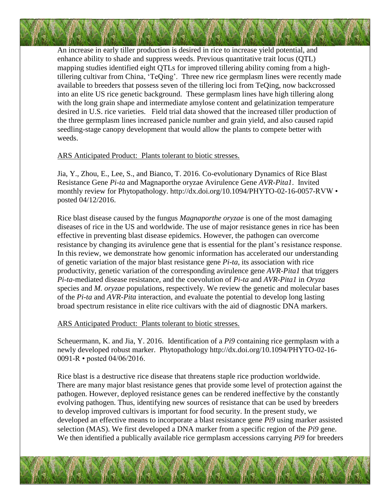An increase in early tiller production is desired in rice to increase yield potential, and enhance ability to shade and suppress weeds. Previous quantitative trait locus (QTL) mapping studies identified eight QTLs for improved tillering ability coming from a hightillering cultivar from China, 'TeQing'. Three new rice germplasm lines were recently made available to breeders that possess seven of the tillering loci from TeQing, now backcrossed into an elite US rice genetic background. These germplasm lines have high tillering along with the long grain shape and intermediate amylose content and gelatinization temperature desired in U.S. rice varieties. Field trial data showed that the increased tiller production of the three germplasm lines increased panicle number and grain yield, and also caused rapid seedling-stage canopy development that would allow the plants to compete better with weeds.

#### ARS Anticipated Product: Plants tolerant to biotic stresses.

Jia, Y., Zhou, E., Lee, S., and Bianco, T. 2016. Co-evolutionary Dynamics of Rice Blast Resistance Gene *Pi-ta* and Magnaporthe oryzae Avirulence Gene *AVR-Pita1*. Invited monthly review for Phytopathology. http://dx.doi.org/10.1094/PHYTO-02-16-0057-RVW • posted 04/12/2016.

Rice blast disease caused by the fungus *Magnaporthe oryzae* is one of the most damaging diseases of rice in the US and worldwide. The use of major resistance genes in rice has been effective in preventing blast disease epidemics. However, the pathogen can overcome resistance by changing its avirulence gene that is essential for the plant's resistance response. In this review, we demonstrate how genomic information has accelerated our understanding of genetic variation of the major blast resistance gene *Pi-ta*, its association with rice productivity, genetic variation of the corresponding avirulence gene *AVR-Pita1* that triggers *Pi-ta*-mediated disease resistance, and the coevolution of *Pi-ta* and *AVR-Pita1* in *Oryza* species and *M. oryzae* populations, respectively. We review the genetic and molecular bases of the *Pi-ta* and *AVR-Pita* interaction, and evaluate the potential to develop long lasting broad spectrum resistance in elite rice cultivars with the aid of diagnostic DNA markers.

ARS Anticipated Product: Plants tolerant to biotic stresses.

Scheuermann, K. and Jia, Y. 2016. Identification of a *Pi9* containing rice germplasm with a newly developed robust marker. Phytopathology http://dx.doi.org/10.1094/PHYTO-02-16- 0091-R • posted 04/06/2016.

Rice blast is a destructive rice disease that threatens staple rice production worldwide. There are many major blast resistance genes that provide some level of protection against the pathogen. However, deployed resistance genes can be rendered ineffective by the constantly evolving pathogen. Thus, identifying new sources of resistance that can be used by breeders to develop improved cultivars is important for food security. In the present study, we developed an effective means to incorporate a blast resistance gene *Pi9* using marker assisted selection (MAS). We first developed a DNA marker from a specific region of the *Pi9* gene. We then identified a publically available rice germplasm accessions carrying *Pi9* for breeders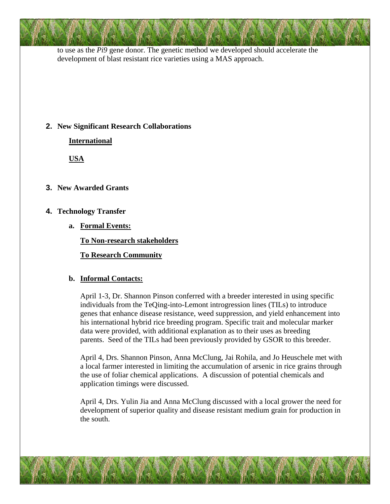to use as the *Pi9* gene donor. The genetic method we developed should accelerate the development of blast resistant rice varieties using a MAS approach.

## **2. New Significant Research Collaborations**

**International**

**USA**

# **3. New Awarded Grants**

# **4. Technology Transfer**

**a. Formal Events:**

**To Non-research stakeholders**

**To Research Community**

# **b. Informal Contacts:**

April 1-3, Dr. Shannon Pinson conferred with a breeder interested in using specific individuals from the TeQing-into-Lemont introgression lines (TILs) to introduce genes that enhance disease resistance, weed suppression, and yield enhancement into his international hybrid rice breeding program. Specific trait and molecular marker data were provided, with additional explanation as to their uses as breeding parents. Seed of the TILs had been previously provided by GSOR to this breeder.

April 4, Drs. Shannon Pinson, Anna McClung, Jai Rohila, and Jo Heuschele met with a local farmer interested in limiting the accumulation of arsenic in rice grains through the use of foliar chemical applications. A discussion of potential chemicals and application timings were discussed.

April 4, Drs. Yulin Jia and Anna McClung discussed with a local grower the need for development of superior quality and disease resistant medium grain for production in the south.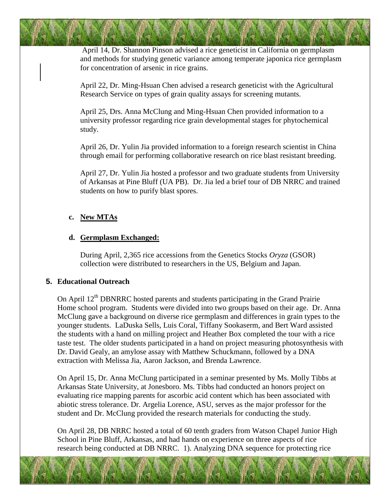April 14, Dr. Shannon Pinson advised a rice geneticist in California on germplasm and methods for studying genetic variance among temperate japonica rice germplasm for concentration of arsenic in rice grains.

April 22, Dr. Ming-Hsuan Chen advised a research geneticist with the Agricultural Research Service on types of grain quality assays for screening mutants.

April 25, Drs. Anna McClung and Ming-Hsuan Chen provided information to a university professor regarding rice grain developmental stages for phytochemical study.

April 26, Dr. Yulin Jia provided information to a foreign research scientist in China through email for performing collaborative research on rice blast resistant breeding.

April 27, Dr. Yulin Jia hosted a professor and two graduate students from University of Arkansas at Pine Bluff (UA PB). Dr. Jia led a brief tour of DB NRRC and trained students on how to purify blast spores.

#### **c. New MTAs**

#### **d. Germplasm Exchanged:**

During April, 2,365 rice accessions from the Genetics Stocks *Oryza* (GSOR) collection were distributed to researchers in the US, Belgium and Japan.

#### **5. Educational Outreach**

On April  $12<sup>th</sup>$  DBNRRC hosted parents and students participating in the Grand Prairie Home school program. Students were divided into two groups based on their age. Dr. Anna McClung gave a background on diverse rice germplasm and differences in grain types to the younger students. LaDuska Sells, Luis Coral, Tiffany Sookaserm, and Bert Ward assisted the students with a hand on milling project and Heather Box completed the tour with a rice taste test. The older students participated in a hand on project measuring photosynthesis with Dr. David Gealy, an amylose assay with Matthew Schuckmann, followed by a DNA extraction with Melissa Jia, Aaron Jackson, and Brenda Lawrence.

On April 15, Dr. Anna McClung participated in a seminar presented by Ms. Molly Tibbs at Arkansas State University, at Jonesboro. Ms. Tibbs had conducted an honors project on evaluating rice mapping parents for ascorbic acid content which has been associated with abiotic stress tolerance. Dr. Argelia Lorence, ASU, serves as the major professor for the student and Dr. McClung provided the research materials for conducting the study.

On April 28, DB NRRC hosted a total of 60 tenth graders from Watson Chapel Junior High School in Pine Bluff, Arkansas, and had hands on experience on three aspects of rice research being conducted at DB NRRC. 1). Analyzing DNA sequence for protecting rice